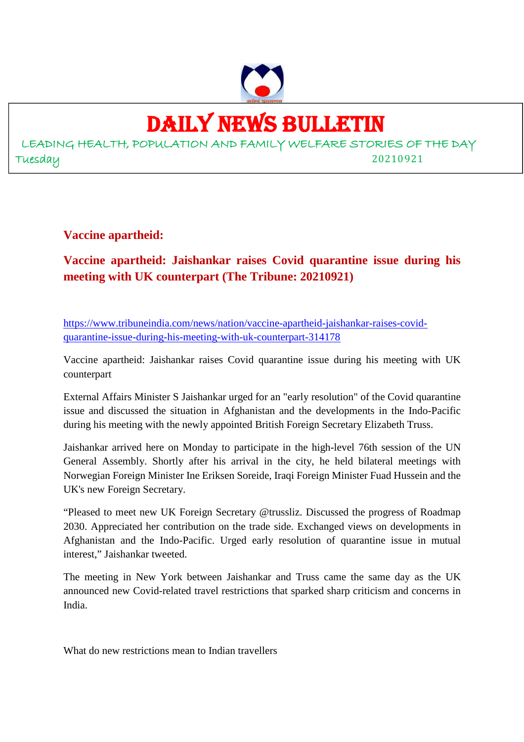

## DAILY NEWS BULLETIN

LEADING HEALTH, POPULATION AND FAMILY WELFARE STORIES OF THE DAY Tuesday 20210921

**Vaccine apartheid:**

**Vaccine apartheid: Jaishankar raises Covid quarantine issue during his meeting with UK counterpart (The Tribune: 20210921)**

https://www.tribuneindia.com/news/nation/vaccine-apartheid-jaishankar-raises-covidquarantine-issue-during-his-meeting-with-uk-counterpart-314178

Vaccine apartheid: Jaishankar raises Covid quarantine issue during his meeting with UK counterpart

External Affairs Minister S Jaishankar urged for an "early resolution" of the Covid quarantine issue and discussed the situation in Afghanistan and the developments in the Indo-Pacific during his meeting with the newly appointed British Foreign Secretary Elizabeth Truss.

Jaishankar arrived here on Monday to participate in the high-level 76th session of the UN General Assembly. Shortly after his arrival in the city, he held bilateral meetings with Norwegian Foreign Minister Ine Eriksen Soreide, Iraqi Foreign Minister Fuad Hussein and the UK's new Foreign Secretary.

"Pleased to meet new UK Foreign Secretary @trussliz. Discussed the progress of Roadmap 2030. Appreciated her contribution on the trade side. Exchanged views on developments in Afghanistan and the Indo-Pacific. Urged early resolution of quarantine issue in mutual interest," Jaishankar tweeted.

The meeting in New York between Jaishankar and Truss came the same day as the UK announced new Covid-related travel restrictions that sparked sharp criticism and concerns in India.

What do new restrictions mean to Indian travellers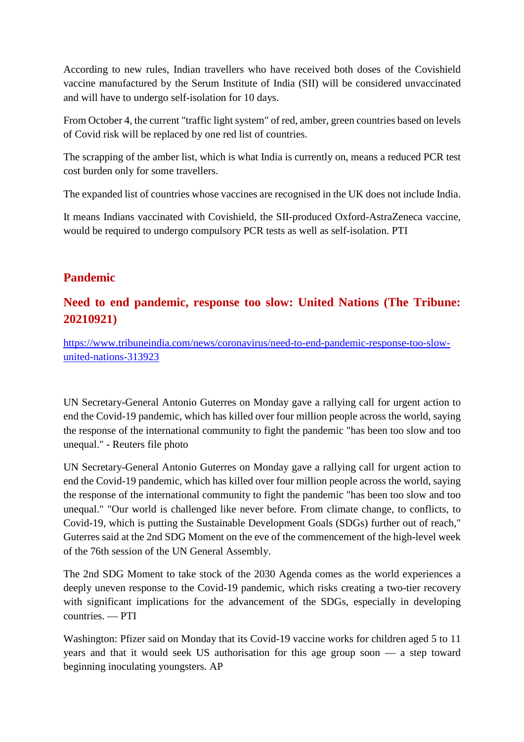According to new rules, Indian travellers who have received both doses of the Covishield vaccine manufactured by the Serum Institute of India (SII) will be considered unvaccinated and will have to undergo self-isolation for 10 days.

From October 4, the current "traffic light system" of red, amber, green countries based on levels of Covid risk will be replaced by one red list of countries.

The scrapping of the amber list, which is what India is currently on, means a reduced PCR test cost burden only for some travellers.

The expanded list of countries whose vaccines are recognised in the UK does not include India.

It means Indians vaccinated with Covishield, the SII-produced Oxford-AstraZeneca vaccine, would be required to undergo compulsory PCR tests as well as self-isolation. PTI

### **Pandemic**

### **Need to end pandemic, response too slow: United Nations (The Tribune: 20210921)**

https://www.tribuneindia.com/news/coronavirus/need-to-end-pandemic-response-too-slowunited-nations-313923

UN Secretary-General Antonio Guterres on Monday gave a rallying call for urgent action to end the Covid-19 pandemic, which has killed over four million people across the world, saying the response of the international community to fight the pandemic "has been too slow and too unequal." - Reuters file photo

UN Secretary-General Antonio Guterres on Monday gave a rallying call for urgent action to end the Covid-19 pandemic, which has killed over four million people across the world, saying the response of the international community to fight the pandemic "has been too slow and too unequal." "Our world is challenged like never before. From climate change, to conflicts, to Covid-19, which is putting the Sustainable Development Goals (SDGs) further out of reach," Guterres said at the 2nd SDG Moment on the eve of the commencement of the high-level week of the 76th session of the UN General Assembly.

The 2nd SDG Moment to take stock of the 2030 Agenda comes as the world experiences a deeply uneven response to the Covid-19 pandemic, which risks creating a two-tier recovery with significant implications for the advancement of the SDGs, especially in developing countries. — PTI

Washington: Pfizer said on Monday that its Covid-19 vaccine works for children aged 5 to 11 years and that it would seek US authorisation for this age group soon — a step toward beginning inoculating youngsters. AP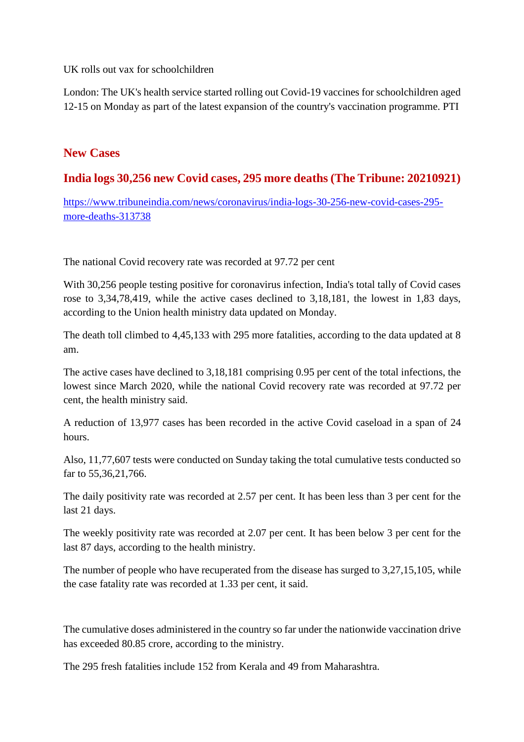UK rolls out vax for schoolchildren

London: The UK's health service started rolling out Covid-19 vaccines for schoolchildren aged 12-15 on Monday as part of the latest expansion of the country's vaccination programme. PTI

### **New Cases**

### **India logs 30,256 new Covid cases, 295 more deaths (The Tribune: 20210921)**

https://www.tribuneindia.com/news/coronavirus/india-logs-30-256-new-covid-cases-295 more-deaths-313738

The national Covid recovery rate was recorded at 97.72 per cent

With 30,256 people testing positive for coronavirus infection, India's total tally of Covid cases rose to 3,34,78,419, while the active cases declined to 3,18,181, the lowest in 1,83 days, according to the Union health ministry data updated on Monday.

The death toll climbed to 4,45,133 with 295 more fatalities, according to the data updated at 8 am.

The active cases have declined to 3,18,181 comprising 0.95 per cent of the total infections, the lowest since March 2020, while the national Covid recovery rate was recorded at 97.72 per cent, the health ministry said.

A reduction of 13,977 cases has been recorded in the active Covid caseload in a span of 24 hours.

Also, 11,77,607 tests were conducted on Sunday taking the total cumulative tests conducted so far to 55,36,21,766.

The daily positivity rate was recorded at 2.57 per cent. It has been less than 3 per cent for the last 21 days.

The weekly positivity rate was recorded at 2.07 per cent. It has been below 3 per cent for the last 87 days, according to the health ministry.

The number of people who have recuperated from the disease has surged to 3,27,15,105, while the case fatality rate was recorded at 1.33 per cent, it said.

The cumulative doses administered in the country so far under the nationwide vaccination drive has exceeded 80.85 crore, according to the ministry.

The 295 fresh fatalities include 152 from Kerala and 49 from Maharashtra.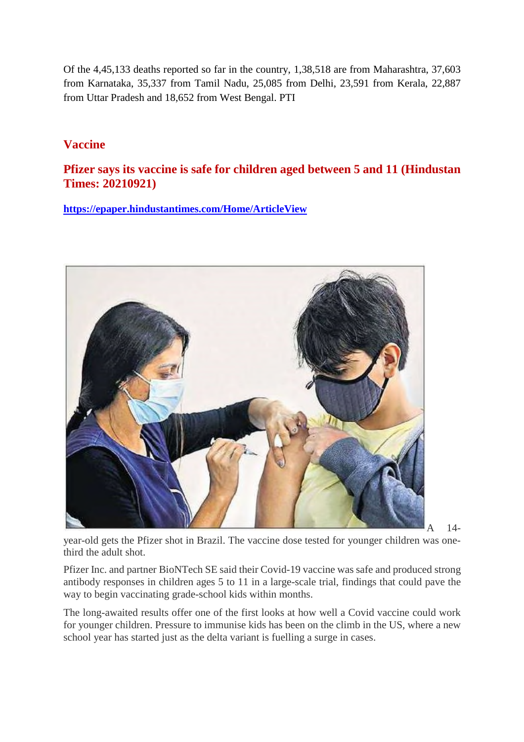Of the 4,45,133 deaths reported so far in the country, 1,38,518 are from Maharashtra, 37,603 from Karnataka, 35,337 from Tamil Nadu, 25,085 from Delhi, 23,591 from Kerala, 22,887 from Uttar Pradesh and 18,652 from West Bengal. PTI

### **Vaccine**

**Pfizer says its vaccine is safe for children aged between 5 and 11 (Hindustan Times: 20210921)**

**https://epaper.hindustantimes.com/Home/ArticleView**



 $14-$ 

year-old gets the Pfizer shot in Brazil. The vaccine dose tested for younger children was onethird the adult shot.

Pfizer Inc. and partner BioNTech SE said their Covid-19 vaccine was safe and produced strong antibody responses in children ages 5 to 11 in a large-scale trial, findings that could pave the way to begin vaccinating grade-school kids within months.

The long-awaited results offer one of the first looks at how well a Covid vaccine could work for younger children. Pressure to immunise kids has been on the climb in the US, where a new school year has started just as the delta variant is fuelling a surge in cases.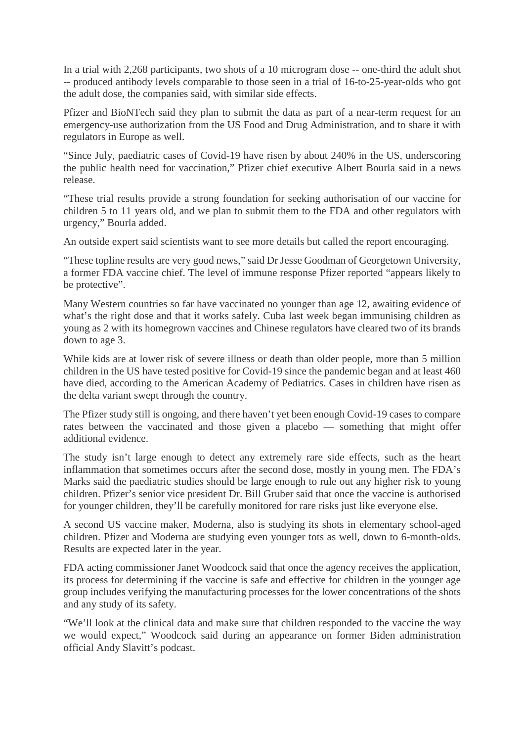In a trial with 2,268 participants, two shots of a 10 microgram dose -- one-third the adult shot -- produced antibody levels comparable to those seen in a trial of 16-to-25-year-olds who got the adult dose, the companies said, with similar side effects.

Pfizer and BioNTech said they plan to submit the data as part of a near-term request for an emergency-use authorization from the US Food and Drug Administration, and to share it with regulators in Europe as well.

"Since July, paediatric cases of Covid-19 have risen by about 240% in the US, underscoring the public health need for vaccination," Pfizer chief executive Albert Bourla said in a news release.

"These trial results provide a strong foundation for seeking authorisation of our vaccine for children 5 to 11 years old, and we plan to submit them to the FDA and other regulators with urgency," Bourla added.

An outside expert said scientists want to see more details but called the report encouraging.

"These topline results are very good news," said Dr Jesse Goodman of Georgetown University, a former FDA vaccine chief. The level of immune response Pfizer reported "appears likely to be protective".

Many Western countries so far have vaccinated no younger than age 12, awaiting evidence of what's the right dose and that it works safely. Cuba last week began immunising children as young as 2 with its homegrown vaccines and Chinese regulators have cleared two of its brands down to age 3.

While kids are at lower risk of severe illness or death than older people, more than 5 million children in the US have tested positive for Covid-19 since the pandemic began and at least 460 have died, according to the American Academy of Pediatrics. Cases in children have risen as the delta variant swept through the country.

The Pfizer study still is ongoing, and there haven't yet been enough Covid-19 cases to compare rates between the vaccinated and those given a placebo — something that might offer additional evidence.

The study isn't large enough to detect any extremely rare side effects, such as the heart inflammation that sometimes occurs after the second dose, mostly in young men. The FDA's Marks said the paediatric studies should be large enough to rule out any higher risk to young children. Pfizer's senior vice president Dr. Bill Gruber said that once the vaccine is authorised for younger children, they'll be carefully monitored for rare risks just like everyone else.

A second US vaccine maker, Moderna, also is studying its shots in elementary school-aged children. Pfizer and Moderna are studying even younger tots as well, down to 6-month-olds. Results are expected later in the year.

FDA acting commissioner Janet Woodcock said that once the agency receives the application, its process for determining if the vaccine is safe and effective for children in the younger age group includes verifying the manufacturing processes for the lower concentrations of the shots and any study of its safety.

"We'll look at the clinical data and make sure that children responded to the vaccine the way we would expect," Woodcock said during an appearance on former Biden administration official Andy Slavitt's podcast.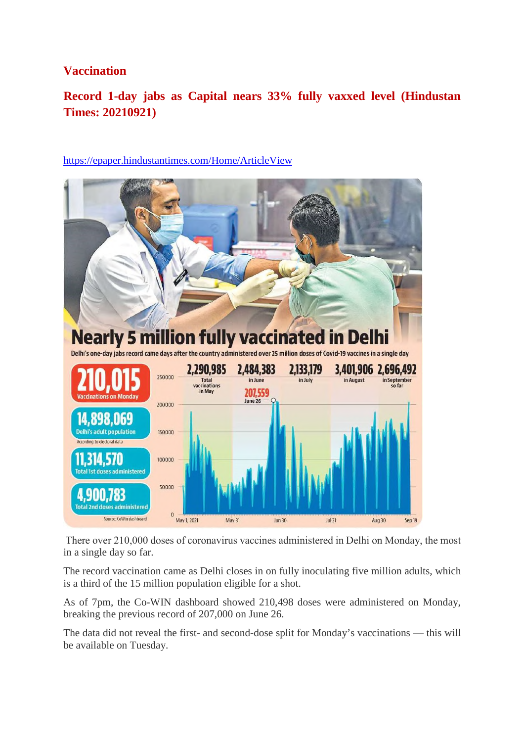### **Vaccination**

### **Record 1-day jabs as Capital nears 33% fully vaxxed level (Hindustan Times: 20210921)**



https://epaper.hindustantimes.com/Home/ArticleView

There over 210,000 doses of coronavirus vaccines administered in Delhi on Monday, the most in a single day so far.

The record vaccination came as Delhi closes in on fully inoculating five million adults, which is a third of the 15 million population eligible for a shot.

As of 7pm, the Co-WIN dashboard showed 210,498 doses were administered on Monday, breaking the previous record of 207,000 on June 26.

The data did not reveal the first- and second-dose split for Monday's vaccinations — this will be available on Tuesday.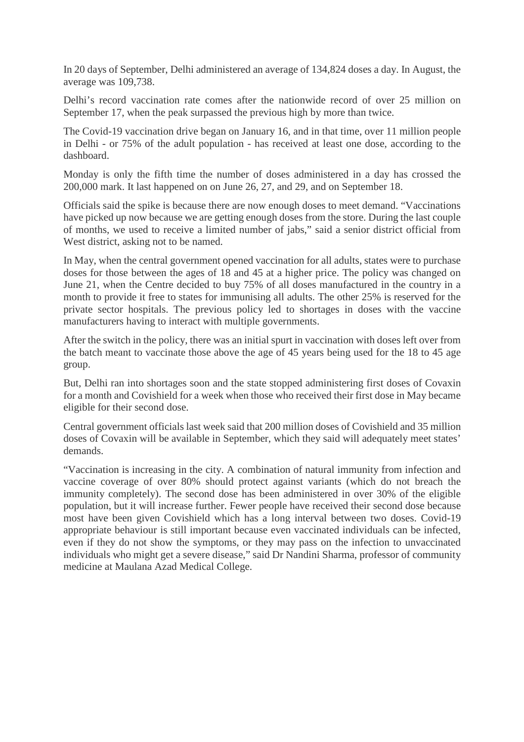In 20 days of September, Delhi administered an average of 134,824 doses a day. In August, the average was 109,738.

Delhi's record vaccination rate comes after the nationwide record of over 25 million on September 17, when the peak surpassed the previous high by more than twice.

The Covid-19 vaccination drive began on January 16, and in that time, over 11 million people in Delhi - or 75% of the adult population - has received at least one dose, according to the dashboard.

Monday is only the fifth time the number of doses administered in a day has crossed the 200,000 mark. It last happened on on June 26, 27, and 29, and on September 18.

Officials said the spike is because there are now enough doses to meet demand. "Vaccinations have picked up now because we are getting enough doses from the store. During the last couple of months, we used to receive a limited number of jabs," said a senior district official from West district, asking not to be named.

In May, when the central government opened vaccination for all adults, states were to purchase doses for those between the ages of 18 and 45 at a higher price. The policy was changed on June 21, when the Centre decided to buy 75% of all doses manufactured in the country in a month to provide it free to states for immunising all adults. The other 25% is reserved for the private sector hospitals. The previous policy led to shortages in doses with the vaccine manufacturers having to interact with multiple governments.

After the switch in the policy, there was an initial spurt in vaccination with doses left over from the batch meant to vaccinate those above the age of 45 years being used for the 18 to 45 age group.

But, Delhi ran into shortages soon and the state stopped administering first doses of Covaxin for a month and Covishield for a week when those who received their first dose in May became eligible for their second dose.

Central government officials last week said that 200 million doses of Covishield and 35 million doses of Covaxin will be available in September, which they said will adequately meet states' demands.

"Vaccination is increasing in the city. A combination of natural immunity from infection and vaccine coverage of over 80% should protect against variants (which do not breach the immunity completely). The second dose has been administered in over 30% of the eligible population, but it will increase further. Fewer people have received their second dose because most have been given Covishield which has a long interval between two doses. Covid-19 appropriate behaviour is still important because even vaccinated individuals can be infected, even if they do not show the symptoms, or they may pass on the infection to unvaccinated individuals who might get a severe disease," said Dr Nandini Sharma, professor of community medicine at Maulana Azad Medical College.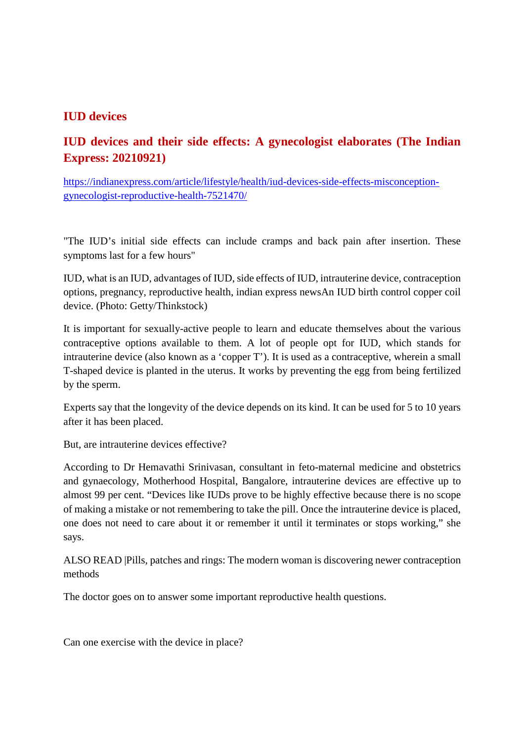### **IUD devices**

## **IUD devices and their side effects: A gynecologist elaborates (The Indian Express: 20210921)**

https://indianexpress.com/article/lifestyle/health/iud-devices-side-effects-misconceptiongynecologist-reproductive-health-7521470/

"The IUD's initial side effects can include cramps and back pain after insertion. These symptoms last for a few hours"

IUD, what is an IUD, advantages of IUD, side effects of IUD, intrauterine device, contraception options, pregnancy, reproductive health, indian express newsAn IUD birth control copper coil device. (Photo: Getty/Thinkstock)

It is important for sexually-active people to learn and educate themselves about the various contraceptive options available to them. A lot of people opt for IUD, which stands for intrauterine device (also known as a 'copper T'). It is used as a contraceptive, wherein a small T-shaped device is planted in the uterus. It works by preventing the egg from being fertilized by the sperm.

Experts say that the longevity of the device depends on its kind. It can be used for 5 to 10 years after it has been placed.

But, are intrauterine devices effective?

According to Dr Hemavathi Srinivasan, consultant in feto-maternal medicine and obstetrics and gynaecology, Motherhood Hospital, Bangalore, intrauterine devices are effective up to almost 99 per cent. "Devices like IUDs prove to be highly effective because there is no scope of making a mistake or not remembering to take the pill. Once the intrauterine device is placed, one does not need to care about it or remember it until it terminates or stops working," she says.

ALSO READ |Pills, patches and rings: The modern woman is discovering newer contraception methods

The doctor goes on to answer some important reproductive health questions.

Can one exercise with the device in place?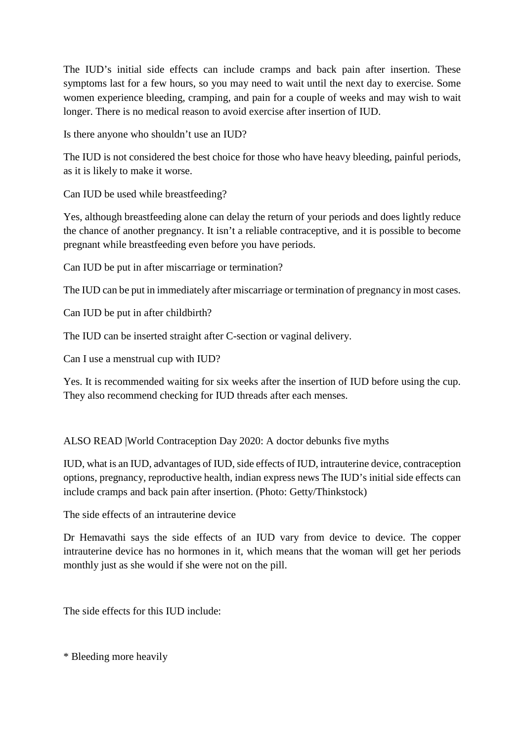The IUD's initial side effects can include cramps and back pain after insertion. These symptoms last for a few hours, so you may need to wait until the next day to exercise. Some women experience bleeding, cramping, and pain for a couple of weeks and may wish to wait longer. There is no medical reason to avoid exercise after insertion of IUD.

Is there anyone who shouldn't use an IUD?

The IUD is not considered the best choice for those who have heavy bleeding, painful periods, as it is likely to make it worse.

Can IUD be used while breastfeeding?

Yes, although breastfeeding alone can delay the return of your periods and does lightly reduce the chance of another pregnancy. It isn't a reliable contraceptive, and it is possible to become pregnant while breastfeeding even before you have periods.

Can IUD be put in after miscarriage or termination?

The IUD can be put in immediately after miscarriage or termination of pregnancy in most cases.

Can IUD be put in after childbirth?

The IUD can be inserted straight after C-section or vaginal delivery.

Can I use a menstrual cup with IUD?

Yes. It is recommended waiting for six weeks after the insertion of IUD before using the cup. They also recommend checking for IUD threads after each menses.

ALSO READ |World Contraception Day 2020: A doctor debunks five myths

IUD, what is an IUD, advantages of IUD, side effects of IUD, intrauterine device, contraception options, pregnancy, reproductive health, indian express news The IUD's initial side effects can include cramps and back pain after insertion. (Photo: Getty/Thinkstock)

The side effects of an intrauterine device

Dr Hemavathi says the side effects of an IUD vary from device to device. The copper intrauterine device has no hormones in it, which means that the woman will get her periods monthly just as she would if she were not on the pill.

The side effects for this IUD include:

\* Bleeding more heavily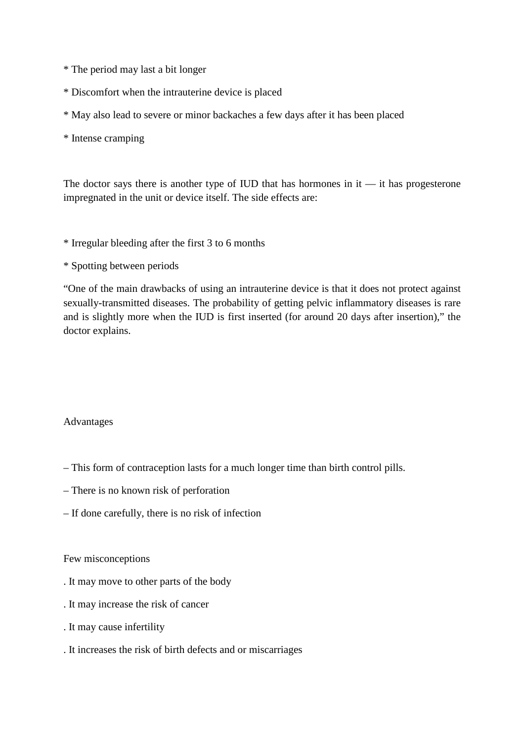- \* The period may last a bit longer
- \* Discomfort when the intrauterine device is placed
- \* May also lead to severe or minor backaches a few days after it has been placed
- \* Intense cramping

The doctor says there is another type of IUD that has hormones in  $it - it$  has progesterone impregnated in the unit or device itself. The side effects are:

\* Irregular bleeding after the first 3 to 6 months

### \* Spotting between periods

"One of the main drawbacks of using an intrauterine device is that it does not protect against sexually-transmitted diseases. The probability of getting pelvic inflammatory diseases is rare and is slightly more when the IUD is first inserted (for around 20 days after insertion)," the doctor explains.

### Advantages

- This form of contraception lasts for a much longer time than birth control pills.
- There is no known risk of perforation
- If done carefully, there is no risk of infection

#### Few misconceptions

- . It may move to other parts of the body
- . It may increase the risk of cancer
- . It may cause infertility
- . It increases the risk of birth defects and or miscarriages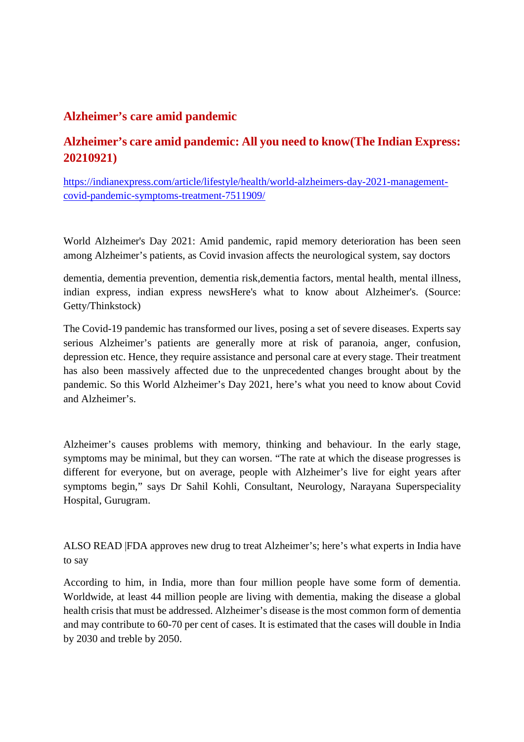### **Alzheimer's care amid pandemic**

### **Alzheimer's care amid pandemic: All you need to know(The Indian Express: 20210921)**

https://indianexpress.com/article/lifestyle/health/world-alzheimers-day-2021-managementcovid-pandemic-symptoms-treatment-7511909/

World Alzheimer's Day 2021: Amid pandemic, rapid memory deterioration has been seen among Alzheimer's patients, as Covid invasion affects the neurological system, say doctors

dementia, dementia prevention, dementia risk,dementia factors, mental health, mental illness, indian express, indian express newsHere's what to know about Alzheimer's. (Source: Getty/Thinkstock)

The Covid-19 pandemic has transformed our lives, posing a set of severe diseases. Experts say serious Alzheimer's patients are generally more at risk of paranoia, anger, confusion, depression etc. Hence, they require assistance and personal care at every stage. Their treatment has also been massively affected due to the unprecedented changes brought about by the pandemic. So this World Alzheimer's Day 2021, here's what you need to know about Covid and Alzheimer's.

Alzheimer's causes problems with memory, thinking and behaviour. In the early stage, symptoms may be minimal, but they can worsen. "The rate at which the disease progresses is different for everyone, but on average, people with Alzheimer's live for eight years after symptoms begin," says Dr Sahil Kohli, Consultant, Neurology, Narayana Superspeciality Hospital, Gurugram.

ALSO READ |FDA approves new drug to treat Alzheimer's; here's what experts in India have to say

According to him, in India, more than four million people have some form of dementia. Worldwide, at least 44 million people are living with dementia, making the disease a global health crisis that must be addressed. Alzheimer's disease is the most common form of dementia and may contribute to 60-70 per cent of cases. It is estimated that the cases will double in India by 2030 and treble by 2050.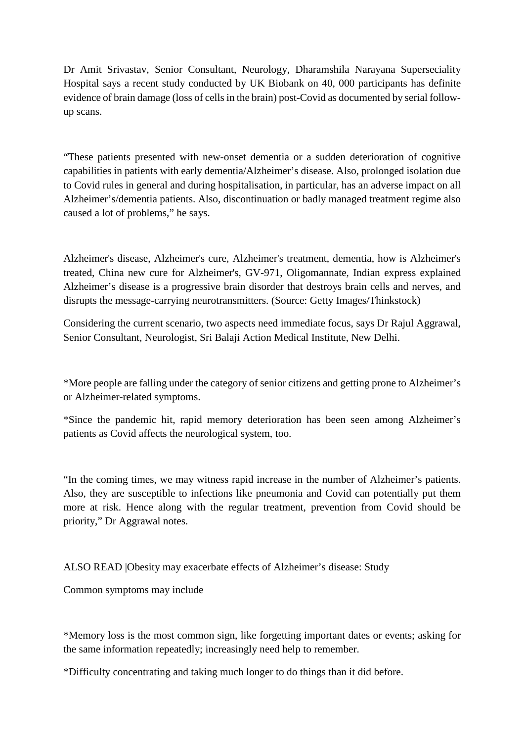Dr Amit Srivastav, Senior Consultant, Neurology, Dharamshila Narayana Superseciality Hospital says a recent study conducted by UK Biobank on 40, 000 participants has definite evidence of brain damage (loss of cells in the brain) post-Covid as documented by serial followup scans.

"These patients presented with new-onset dementia or a sudden deterioration of cognitive capabilities in patients with early dementia/Alzheimer's disease. Also, prolonged isolation due to Covid rules in general and during hospitalisation, in particular, has an adverse impact on all Alzheimer's/dementia patients. Also, discontinuation or badly managed treatment regime also caused a lot of problems," he says.

Alzheimer's disease, Alzheimer's cure, Alzheimer's treatment, dementia, how is Alzheimer's treated, China new cure for Alzheimer's, GV-971, Oligomannate, Indian express explained Alzheimer's disease is a progressive brain disorder that destroys brain cells and nerves, and disrupts the message-carrying neurotransmitters. (Source: Getty Images/Thinkstock)

Considering the current scenario, two aspects need immediate focus, says Dr Rajul Aggrawal, Senior Consultant, Neurologist, Sri Balaji Action Medical Institute, New Delhi.

\*More people are falling under the category of senior citizens and getting prone to Alzheimer's or Alzheimer-related symptoms.

\*Since the pandemic hit, rapid memory deterioration has been seen among Alzheimer's patients as Covid affects the neurological system, too.

"In the coming times, we may witness rapid increase in the number of Alzheimer's patients. Also, they are susceptible to infections like pneumonia and Covid can potentially put them more at risk. Hence along with the regular treatment, prevention from Covid should be priority," Dr Aggrawal notes.

ALSO READ |Obesity may exacerbate effects of Alzheimer's disease: Study

Common symptoms may include

\*Memory loss is the most common sign, like forgetting important dates or events; asking for the same information repeatedly; increasingly need help to remember.

\*Difficulty concentrating and taking much longer to do things than it did before.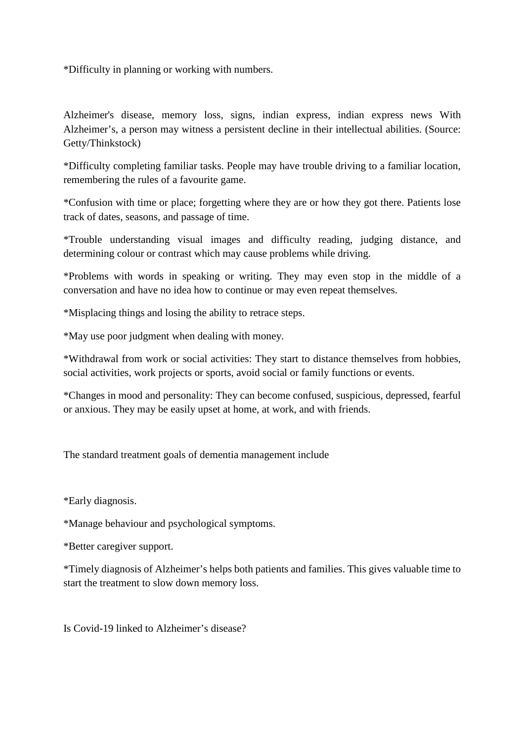\*Difficulty in planning or working with numbers.

Alzheimer's disease, memory loss, signs, indian express, indian express news With Alzheimer's, a person may witness a persistent decline in their intellectual abilities. (Source: Getty/Thinkstock)

\*Difficulty completing familiar tasks. People may have trouble driving to a familiar location, remembering the rules of a favourite game.

\*Confusion with time or place; forgetting where they are or how they got there. Patients lose track of dates, seasons, and passage of time.

\*Trouble understanding visual images and difficulty reading, judging distance, and determining colour or contrast which may cause problems while driving.

\*Problems with words in speaking or writing. They may even stop in the middle of a conversation and have no idea how to continue or may even repeat themselves.

\*Misplacing things and losing the ability to retrace steps.

\*May use poor judgment when dealing with money.

\*Withdrawal from work or social activities: They start to distance themselves from hobbies, social activities, work projects or sports, avoid social or family functions or events.

\*Changes in mood and personality: They can become confused, suspicious, depressed, fearful or anxious. They may be easily upset at home, at work, and with friends.

The standard treatment goals of dementia management include

\*Early diagnosis.

\*Manage behaviour and psychological symptoms.

\*Better caregiver support.

\*Timely diagnosis of Alzheimer's helps both patients and families. This gives valuable time to start the treatment to slow down memory loss.

Is Covid-19 linked to Alzheimer's disease?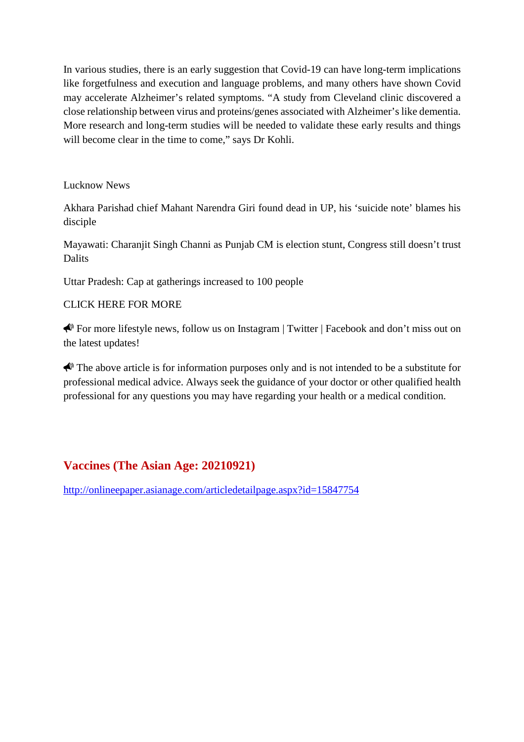In various studies, there is an early suggestion that Covid-19 can have long-term implications like forgetfulness and execution and language problems, and many others have shown Covid may accelerate Alzheimer's related symptoms. "A study from Cleveland clinic discovered a close relationship between virus and proteins/genes associated with Alzheimer's like dementia. More research and long-term studies will be needed to validate these early results and things will become clear in the time to come," says Dr Kohli.

Lucknow News

Akhara Parishad chief Mahant Narendra Giri found dead in UP, his 'suicide note' blames his disciple

Mayawati: Charanjit Singh Channi as Punjab CM is election stunt, Congress still doesn't trust Dalits

Uttar Pradesh: Cap at gatherings increased to 100 people

### CLICK HERE FOR MORE

 $\bigotimes$  For more lifestyle news, follow us on Instagram | Twitter | Facebook and don't miss out on the latest updates!

 $\bigotimes$  The above article is for information purposes only and is not intended to be a substitute for professional medical advice. Always seek the guidance of your doctor or other qualified health professional for any questions you may have regarding your health or a medical condition.

### **Vaccines (The Asian Age: 20210921)**

http://onlineepaper.asianage.com/articledetailpage.aspx?id=15847754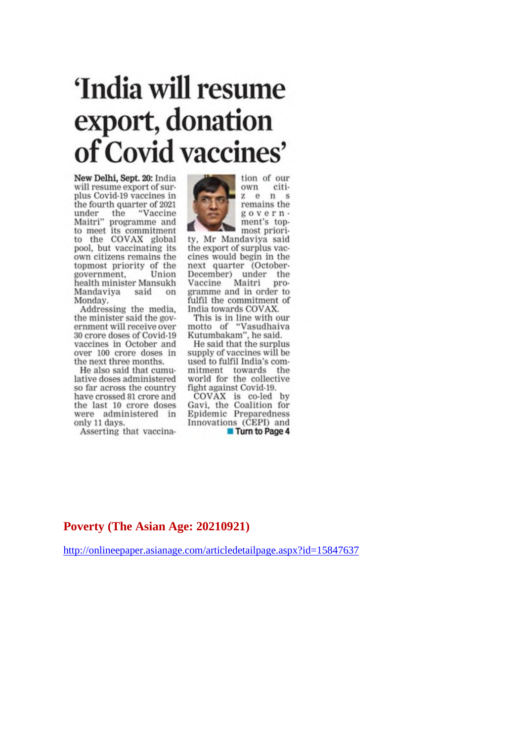# 'India will resume export, donation of Covid vaccines'

New Delhi, Sept. 20: India will resume export of surplus Covid-19 vaccines in the fourth quarter of 2021 under the "Vaccine<br>Maitri" programme and<br>to meet its commitment to the COVAX global pool, but vaccinating its own citizens remains the topmost priority of the government, Union health minister Mansukh Mandaviya said on Monday.

Addressing the media, the minister said the government will receive over 30 crore doses of Covid-19 vaccines in October and over 100 crore doses in the next three months.

He also said that cumulative doses administered so far across the country have crossed 81 crore and the last 10 crore doses were administered in only 11 days.

Asserting that vaccina-



own citi $z \cdot e$  $n<sub>s</sub>$ remains the government's topmost priori-

ty, Mr Mandaviya said the export of surplus vaccines would begin in the next quarter (October-December) under the Maitri Vaccine programme and in order to fulfil the commitment of India towards COVAX.

This is in line with our motto of "Vasudhaiva", he said.<br>He said that the surplus

supply of vaccines will be used to fulfil India's commitment towards the<br>world for the collective fight against Covid-19.

COVAX is co-led by Gavi, the Coalition for Epidemic Preparedness Innovations (CEPI) and Turn to Page 4

**Poverty (The Asian Age: 20210921)**

http://onlineepaper.asianage.com/articledetailpage.aspx?id=15847637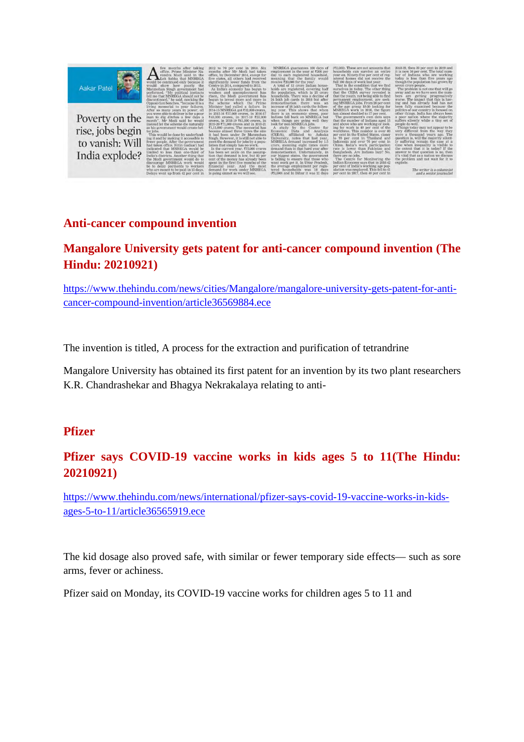

Poverty on the rise, jobs begin to vanish: Will India explode?



### **Anti-cancer compound invention**

### **Mangalore University gets patent for anti-cancer compound invention (The Hindu: 20210921)**

https://www.thehindu.com/news/cities/Mangalore/mangalore-university-gets-patent-for-anticancer-compound-invention/article36569884.ece

The invention is titled, A process for the extraction and purification of tetrandrine

Mangalore University has obtained its first patent for an invention by its two plant researchers K.R. Chandrashekar and Bhagya Nekrakalaya relating to anti-

### **Pfizer**

### **Pfizer says COVID-19 vaccine works in kids ages 5 to 11(The Hindu: 20210921)**

https://www.thehindu.com/news/international/pfizer-says-covid-19-vaccine-works-in-kidsages-5-to-11/article36565919.ece

The kid dosage also proved safe, with similar or fewer temporary side effects— such as sore arms, fever or achiness.

Pfizer said on Monday, its COVID-19 vaccine works for children ages 5 to 11 and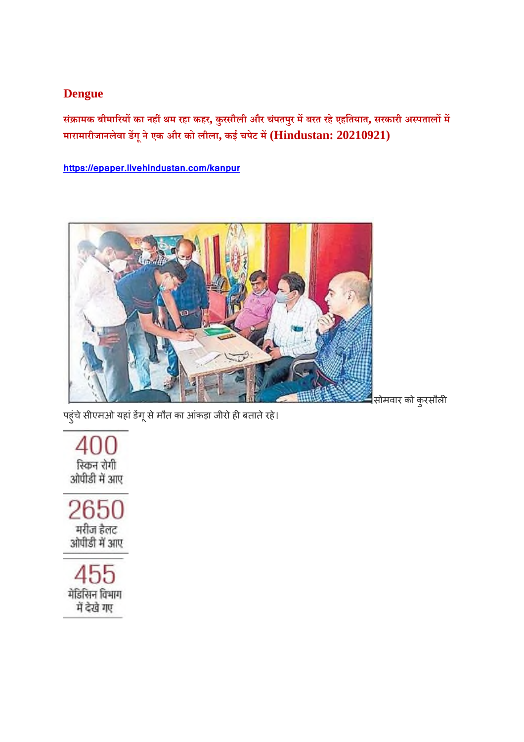### **Dengue**

**सं ामक बीमारयका नहथम रहा कहर, कुरसौली और चंपतपुर मबरत रहेएहितयात, सरकारी अपतालम मारामारीजानलेवा डगूनेएक और को लीला, कई चपेट म(Hindustan: 20210921)**

**https://epaper.livehindustan.com/kanpur**



पहुंचे सीएमओ यहां डेंगू से मौत का आंकड़ा जीरो ही बताते रहे।



2650 मरीज हैलट ओपीडी में आए

455

मेडिसिन विभाग में देखे गए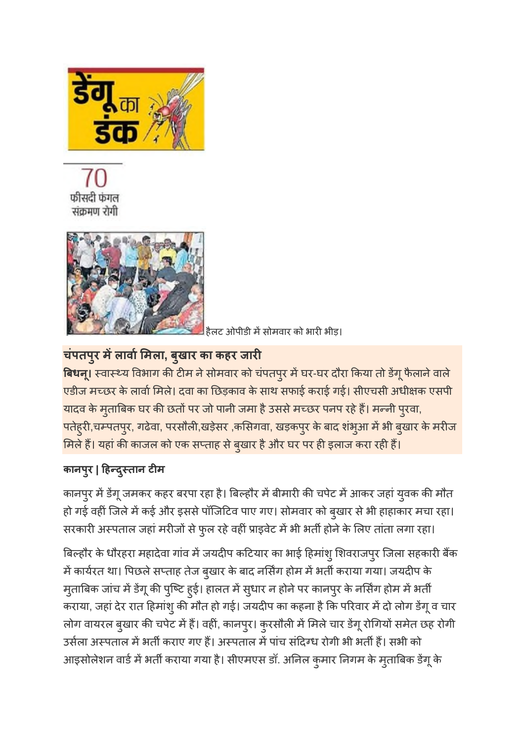

फीसदी फंगल संक्रमण रोगी



हैलट ओपीडी में सोमवार को भारी भीड़।

## **चंपतप ुर मलावामला, ब ु खार का कहर जार**

**बिधनू।** स्वास्थ्य विभाग की टीम ने सोमवार को चंपतपुर में घर-घर दौरा किया तो डेंगू फैलाने वाले एडीज मच्छर के लार्वा मिले। दवा का छिड़काव के साथ सफाई कराई गई। सीएचसी अधीक्षक एसपी <mark>यादव के मुताबिक घर की छतों पर जो पानी जमा है उससे मच्छर पनप रहे हैं। मन्नी पुरवा,</mark> पतेह्री,चम्पतपुर, गढेवा, परसौली,खड़ेसर ,कसिगवा, खड़कपुर के बाद शंभुआ में भी बुखार के मरीज मिले हैं। यहां की काजल को एक सप्ताह से बुखार है और घर पर ही इलाज करा रही हैं।

## **कानपुर | हदुतान टम**

कानपुर में डेंगू जमकर कहर बरपा रहा है। बिल्हौर में बीमारी की चपेट में आकर जहां युवक की मौत हो गई वहीं जिले में कई और इससे पॉजिटिव पाए गए। सोमवार को बुखार से भी हाहाकार मचा रहा। सरकारी अस्पताल जहां मरीजों से फुल रहे वहीं प्राइवेट में भी भर्ती होने के लिए तांता लगा रहा।

बिल्हौर के धौरहरा महादेवा गांव में जयदीप कटियार का भाई हिमांशु शिवराजपुर जिला सहकारी बैंक में कार्यरत था। पिछले सप्ताह तेज बुखार के बाद नर्सिंग होम में भर्ती कराया गया। जयदीप के मुताबिक जांच में डेंगू की पुष्टि हुई। हालत में सुधार न होने पर कानपुर के नर्सिंग होम में भर्ती कराया, जहां देर रात हिमांशु की मौत हो गई। जयदीप का कहना है कि परिवार में दो लोग डेंगू व चार लोग वायरल बुखार की चपेट में हैं। वहीं, कानपुर। कुरसौली में मिले चार डेंगू रोगियों समेत छह रोगी उर्सला अस्पताल में भर्ती कराए गए हैं। अस्पताल में पांच संदिग्ध रोगी भी भर्ती हैं। सभी को आइसोलेशन वार्ड में भर्ती कराया गया है। सीएमएस डॉ. अनिल कुमार निगम के मुताबिक डेंगू के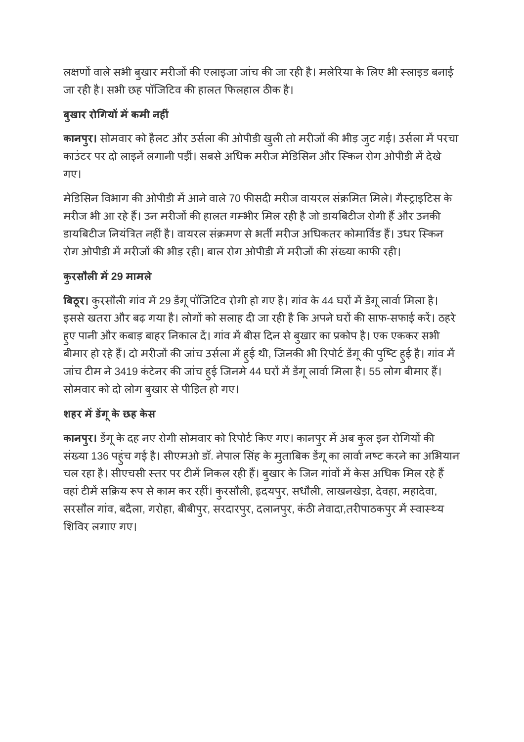लक्षणों वाले सभी बुखार मरीजों की एलाइजा जांच की जा रही है। मलेरिया के लिए भी स्लाइड बनाई जा रही है। सभी छह पॉजिटिव की हालत फिलहाल ठीक है।

## **बुखार रोगयमकमी नहं**

<mark>कानपुर।</mark> सोमवार को हैलट और उर्सला की ओपीडी खुली तो मरीजों की भीड़ जुट गई। उर्सला में परचा काउंटर पर दो लाइनें लगानी पड़ीं। सबसे अधिक मरीज मेडिसिन और स्किन रोग ओपीडी में देखे गए।

मेडिसिन विभाग की ओपीडी में आने वाले 70 फीसदी मरीज वायरल संक्रमित मिले। गैस्ट्राइटिस के मरीज भी आ रहे हैं। उन मरीजों की हालत गम्भीर मिल रही है जो डायबिटीज रोगी हैं और उनकी डायबिटीज नियंत्रित नहीं है। वायरल संक्रमण से भर्ती मरीज अधिकतर कोमार्विड हैं। उधर स्किन रोग ओपीडी में मरीजों की भीड़ रही। बाल रोग ओपीडी में मरीजों की संख्या काफी रही।

## **कुरसौलम29 मामले**

**बिठूर।** कुरसौली गांव में 29 डेंगू पॉजिटिव रोगी हो गए है। गांव के 44 घरों में डेंगू लार्वा मिला है। इससे खतरा और बढ़ गया है। लोगों को सलाह दी जा रही है कि अपने घरों की साफ-सफाई करें। ठहरे हुए पानी और कबाड़ बाहर निकाल दें। गांव में बीस दिन से बुखार का प्रकोप है। एक एककर सभी बीमार हो रहे हैं। दो मरीजों की जांच उर्सला में हुई थी, जिनकी भी रिपोर्ट डेंगू की पुष्टि हुई है। गांव में जांच टीम ने 3419 कंटेनर की जांच हुई जिनमे 44 घरों में डेंगू लार्वा मिला है। 55 लोग बीमार हैं। सोमवार को दो लोग बुखार सेपीड़त हो गए।

## **शहर मडगूके छह केस**

**कानपुर।** डेंगू के दह नए रोगी सोमवार को रिपोर्ट किए गए। कानपुर में अब कुल इन रोगियों की संख्या 136 पहुंच गई है। सीएमओ डॉ. नेपाल सिंह के मुताबिक डेंगू का लार्वा नष्ट करने का अभियान चल रहा है। सीएचसी स्तर पर टीमें निकल रही हैं। बुखार के जिन गांवों में केस अधिक मिल रहे हैं वहां टीमें सक्रिय रूप से काम कर रहीं। कुरसौली, हृदयपुर, सधौली, लाखनखेड़ा, देवहा, महादेवा, सरसौल गांव, बदैला, गरोहा, बीबीपुर, सरदारपुर, दलानपुर, कंठी नेवादा,तरीपाठकपुर में स्वास्थ्य शवर लगाए गए।